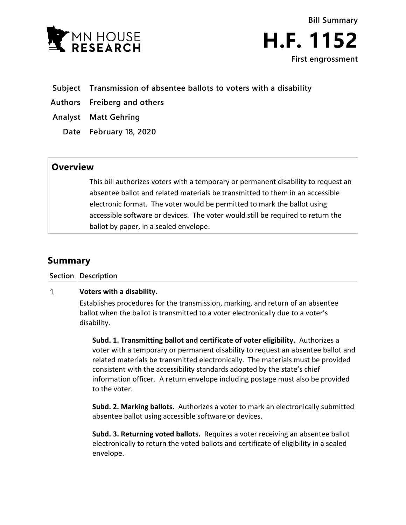

**Bill Summary H.F. 1152**

**First engrossment**

- **Subject Transmission of absentee ballots to voters with a disability**
- **Authors Freiberg and others**
- **Analyst Matt Gehring**
	- **Date February 18, 2020**

## **Overview**

This bill authorizes voters with a temporary or permanent disability to request an absentee ballot and related materials be transmitted to them in an accessible electronic format. The voter would be permitted to mark the ballot using accessible software or devices. The voter would still be required to return the ballot by paper, in a sealed envelope.

# **Summary**

**Section Description**

#### $\mathbf{1}$ **Voters with a disability.**

Establishes procedures for the transmission, marking, and return of an absentee ballot when the ballot is transmitted to a voter electronically due to a voter's disability.

**Subd. 1. Transmitting ballot and certificate of voter eligibility.** Authorizes a voter with a temporary or permanent disability to request an absentee ballot and related materials be transmitted electronically. The materials must be provided consistent with the accessibility standards adopted by the state's chief information officer. A return envelope including postage must also be provided to the voter.

**Subd. 2. Marking ballots.** Authorizes a voter to mark an electronically submitted absentee ballot using accessible software or devices.

**Subd. 3. Returning voted ballots.** Requires a voter receiving an absentee ballot electronically to return the voted ballots and certificate of eligibility in a sealed envelope.